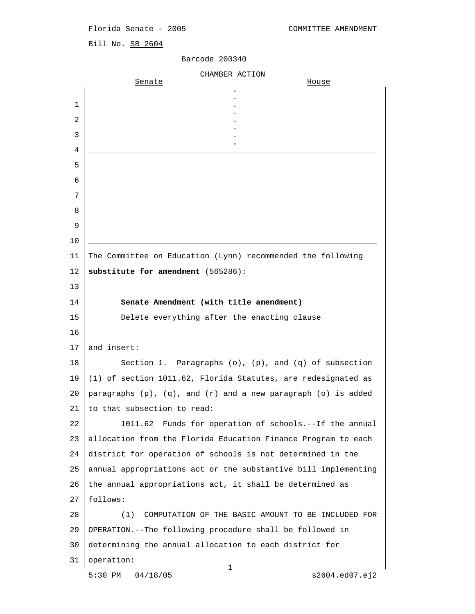## Florida Senate - 2005 COMMITTEE AMENDMENT

Bill No. SB 2604

## Barcode 200340

|    | CHAMBER ACTION                                                          |
|----|-------------------------------------------------------------------------|
|    | Senate<br><u>House</u>                                                  |
| 1  |                                                                         |
| 2  |                                                                         |
| 3  |                                                                         |
| 4  |                                                                         |
| 5  |                                                                         |
| 6  |                                                                         |
| 7  |                                                                         |
| 8  |                                                                         |
| 9  |                                                                         |
| 10 |                                                                         |
| 11 | The Committee on Education (Lynn) recommended the following             |
| 12 | substitute for amendment (565286):                                      |
| 13 |                                                                         |
| 14 | Senate Amendment (with title amendment)                                 |
| 15 | Delete everything after the enacting clause                             |
| 16 |                                                                         |
| 17 | and insert:                                                             |
| 18 | Section 1. Paragraphs $(o)$ , $(p)$ , and $(q)$ of subsection           |
| 19 | (1) of section 1011.62, Florida Statutes, are redesignated as           |
| 20 | paragraphs $(p)$ , $(q)$ , and $(r)$ and a new paragraph $(o)$ is added |
| 21 | to that subsection to read:                                             |
| 22 | 1011.62 Funds for operation of schools.--If the annual                  |
| 23 | allocation from the Florida Education Finance Program to each           |
| 24 | district for operation of schools is not determined in the              |
| 25 | annual appropriations act or the substantive bill implementing          |
| 26 | the annual appropriations act, it shall be determined as                |
| 27 | follows:                                                                |
| 28 | (1)<br>COMPUTATION OF THE BASIC AMOUNT TO BE INCLUDED FOR               |
| 29 | OPERATION.--The following procedure shall be followed in                |
| 30 | determining the annual allocation to each district for                  |
| 31 | operation:<br>$\mathbf 1$                                               |
|    | $5:30$ PM<br>04/18/05<br>s2604.ed07.ej2                                 |